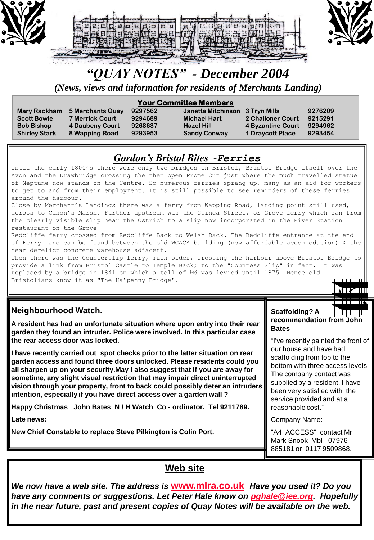

# *"QUAY NOTES" - December 2004*

*(News, views and information for residents of Merchants Landing)*

| <b>Your Committee Members</b> |                        |         |                                 |                         |         |  |
|-------------------------------|------------------------|---------|---------------------------------|-------------------------|---------|--|
| <b>Mary Rackham</b>           | 5 Merchants Quay       | 9297562 | Janetta Mitchinson 3 Tryn Mills |                         | 9276209 |  |
| <b>Scott Bowie</b>            | <b>7 Merrick Court</b> | 9294689 | <b>Michael Hart</b>             | 2 Challoner Court       | 9215291 |  |
| <b>Bob Bishop</b>             | 4 Daubeny Court        | 9268637 | <b>Hazel Hill</b>               | 4 Byzantine Court       | 9294962 |  |
| <b>Shirley Stark</b>          | 8 Wapping Road         | 9293953 | <b>Sandy Conway</b>             | <b>1 Draycott Place</b> | 9293454 |  |
|                               |                        |         |                                 |                         |         |  |

## *Gordon's Bristol Bites -Ferries*

Until the early 1800's there were only two bridges in Bristol, Bristol Bridge itself over the Avon and the Drawbridge crossing the then open Frome Cut just where the much travelled statue of Neptune now stands on the Centre. So numerous ferries sprang up, many as an aid for workers to get to and from their employment. It is still possible to see reminders of these ferries around the harbour. Close by Merchant's Landings there was a ferry from Wapping Road, landing point still used,

across to Canon's Marsh. Further upstream was the Guinea Street, or Grove ferry which ran from the clearly visible slip near the Ostrich to a slip now incorporated in the River Station restaurant on the Grove

Redcliffe ferry crossed from Redcliffe Back to Welsh Back. The Redcliffe entrance at the end of Ferry Lane can be found between the old WCACA building (now affordable accommodation) & the near derelict concrete warehouse adjacent.

Then there was the Counterslip ferry, much older, crossing the harbour above Bristol Bridge to provide a link from Bristol Castle to Temple Back; to the "Countess Slip" in fact. It was replaced by a bridge in 1841 on which a toll of ½d was levied until 1875. Hence old Bristolians know it as "The Ha'penny Bridge".

### **Neighbourhood Watch.**

**A resident has had an unfortunate situation where upon entry into their rear garden they found an intruder. Police were involved. In this particular case the rear access door was locked.** 

**I have recently carried out spot checks prior to the latter situation on rear garden access and found three doors unlocked. Please residents could you all sharpen up on your security.May I also suggest that if you are away for sometime, any slight visual restriction that may impair direct uninterrupted vision through your property, front to back could possibly deter an intruders intention, especially if you have direct access over a garden wall ?**

**Happy Christmas John Bates N / H Watch Co - ordinator. Tel 9211789.**

**Late news:**

**New Chief Constable to replace Steve Pilkington is Colin Port.**

#### **Scaffolding? A**   $\Box$ **recommendation from John Bates**

⊼∏⊁⊞

"I've recently painted the front of our house and have had scaffolding from top to the bottom with three access levels. The company contact was supplied by a resident. I have been very satisfied with the service provided and at a reasonable cost."

Company Name:

"A4 ACCESS" contact Mr Mark Snook Mbl 07976 885181 or 0117 9509868.

## **Web site**

*We now have a web site. The address is* **[www.mlra.co.uk](http://www.mlra.co.uk/)** *Have you used it? Do you have any comments or suggestions. Let Peter Hale know on [pghale@iee.org](mailto:pghale@iee.org). Hopefully in the near future, past and present copies of Quay Notes will be available on the web.*